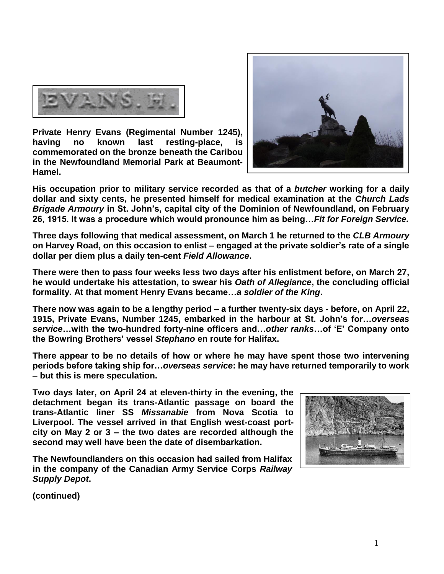

**Private Henry Evans (Regimental Number 1245), having no known last resting-place, is commemorated on the bronze beneath the Caribou in the Newfoundland Memorial Park at Beaumont-Hamel.** 



**His occupation prior to military service recorded as that of a** *butcher* **working for a daily dollar and sixty cents, he presented himself for medical examination at the** *Church Lads Brigade Armoury* **in St. John's, capital city of the Dominion of Newfoundland, on February 26, 1915. It was a procedure which would pronounce him as being…***Fit for Foreign Service.*

**Three days following that medical assessment, on March 1 he returned to the** *CLB Armoury* **on Harvey Road, on this occasion to enlist – engaged at the private soldier's rate of a single dollar per diem plus a daily ten-cent** *Field Allowance***.**

**There were then to pass four weeks less two days after his enlistment before, on March 27, he would undertake his attestation, to swear his** *Oath of Allegiance***, the concluding official formality. At that moment Henry Evans became…***a soldier of the King***.**

**There now was again to be a lengthy period – a further twenty-six days - before, on April 22, 1915, Private Evans, Number 1245, embarked in the harbour at St. John's for…***overseas service***…with the two-hundred forty-nine officers and…***other ranks***…of 'E' Company onto the Bowring Brothers' vessel** *Stephano* **en route for Halifax.** 

**There appear to be no details of how or where he may have spent those two intervening periods before taking ship for…***overseas service***: he may have returned temporarily to work – but this is mere speculation.** 

**Two days later, on April 24 at eleven-thirty in the evening, the detachment began its trans-Atlantic passage on board the trans-Atlantic liner SS** *Missanabie* **from Nova Scotia to Liverpool. The vessel arrived in that English west-coast portcity on May 2 or 3 – the two dates are recorded although the second may well have been the date of disembarkation.** 

**The Newfoundlanders on this occasion had sailed from Halifax in the company of the Canadian Army Service Corps** *Railway Supply Depot***.**



**(continued)**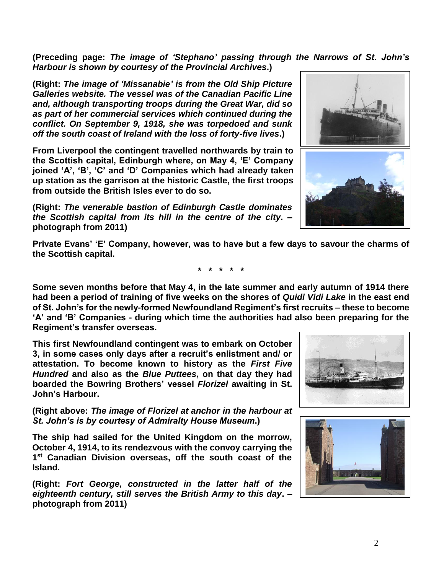2

## **(Preceding page:** *The image of 'Stephano' passing through the Narrows of St. John's Harbour is shown by courtesy of the Provincial Archives***.)**

**(Right:** *The image of 'Missanabie' is from the Old Ship Picture Galleries website. The vessel was of the Canadian Pacific Line and, although transporting troops during the Great War, did so as part of her commercial services which continued during the conflict. On September 9, 1918, she was torpedoed and sunk off the south coast of Ireland with the loss of forty-five lives***.)**

**From Liverpool the contingent travelled northwards by train to the Scottish capital, Edinburgh where, on May 4, 'E' Company joined 'A', 'B', 'C' and 'D' Companies which had already taken up station as the garrison at the historic Castle, the first troops from outside the British Isles ever to do so.**

**(Right:** *The venerable bastion of Edinburgh Castle dominates the Scottish capital from its hill in the centre of the city***. – photograph from 2011)**

**Private Evans' 'E' Company, however, was to have but a few days to savour the charms of the Scottish capital.**

**\* \* \* \* \***

**Some seven months before that May 4, in the late summer and early autumn of 1914 there had been a period of training of five weeks on the shores of** *Quidi Vidi Lake* **in the east end of St. John's for the newly-formed Newfoundland Regiment's first recruits – these to become 'A' and 'B' Companies - during which time the authorities had also been preparing for the Regiment's transfer overseas.**

**This first Newfoundland contingent was to embark on October 3, in some cases only days after a recruit's enlistment and/ or attestation. To become known to history as the** *First Five Hundred* **and also as the** *Blue Puttees***, on that day they had boarded the Bowring Brothers' vessel** *Florizel* **awaiting in St. John's Harbour.**

**(Right above:** *The image of Florizel at anchor in the harbour at St. John's is by courtesy of Admiralty House Museum***.)**

**The ship had sailed for the United Kingdom on the morrow, October 4, 1914, to its rendezvous with the convoy carrying the 1 st Canadian Division overseas, off the south coast of the Island.** 

**(Right:** *Fort George, constructed in the latter half of the eighteenth century, still serves the British Army to this day***. – photograph from 2011)**





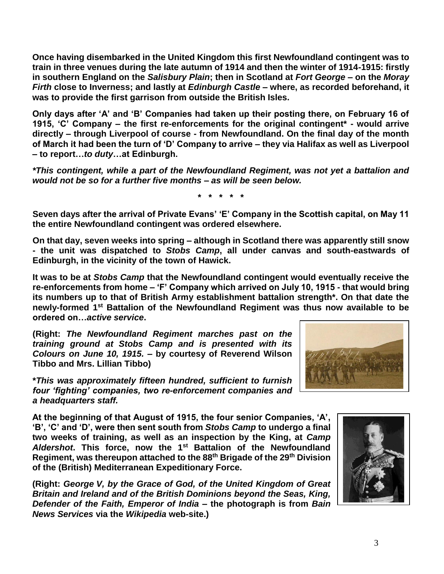**Once having disembarked in the United Kingdom this first Newfoundland contingent was to train in three venues during the late autumn of 1914 and then the winter of 1914-1915: firstly in southern England on the** *Salisbury Plain***; then in Scotland at** *Fort George* **– on the** *Moray Firth* **close to Inverness; and lastly at** *Edinburgh Castle* **– where, as recorded beforehand, it was to provide the first garrison from outside the British Isles.** 

**Only days after 'A' and 'B' Companies had taken up their posting there, on February 16 of 1915, 'C' Company – the first re-enforcements for the original contingent\* - would arrive directly – through Liverpool of course - from Newfoundland. On the final day of the month of March it had been the turn of 'D' Company to arrive – they via Halifax as well as Liverpool – to report…***to duty***…at Edinburgh.**

*\*This contingent, while a part of the Newfoundland Regiment, was not yet a battalion and would not be so for a further five months – as will be seen below.*

**\* \* \* \* \***

**Seven days after the arrival of Private Evans' 'E' Company in the Scottish capital, on May 11 the entire Newfoundland contingent was ordered elsewhere.** 

**On that day, seven weeks into spring – although in Scotland there was apparently still snow - the unit was dispatched to** *Stobs Camp***, all under canvas and south-eastwards of Edinburgh, in the vicinity of the town of Hawick.**

**It was to be at** *Stobs Camp* **that the Newfoundland contingent would eventually receive the re-enforcements from home – 'F' Company which arrived on July 10, 1915 - that would bring its numbers up to that of British Army establishment battalion strength\*. On that date the newly-formed 1st Battalion of the Newfoundland Regiment was thus now available to be ordered on…***active service***.**

**(Right:** *The Newfoundland Regiment marches past on the training ground at Stobs Camp and is presented with its Colours on June 10, 1915.* **– by courtesy of Reverend Wilson Tibbo and Mrs. Lillian Tibbo)**

**\****This was approximately fifteen hundred, sufficient to furnish four 'fighting' companies, two re-enforcement companies and a headquarters staff.*

**At the beginning of that August of 1915, the four senior Companies, 'A', 'B', 'C' and 'D', were then sent south from** *Stobs Camp* **to undergo a final two weeks of training, as well as an inspection by the King, at** *Camp Aldershot***. This force, now the 1st Battalion of the Newfoundland Regiment, was thereupon attached to the 88th Brigade of the 29th Division of the (British) Mediterranean Expeditionary Force.**

**(Right:** *George V, by the Grace of God, of the United Kingdom of Great Britain and Ireland and of the British Dominions beyond the Seas, King, Defender of the Faith, Emperor of India* **– the photograph is from** *Bain News Services* **via the** *Wikipedia* **web-site.)**



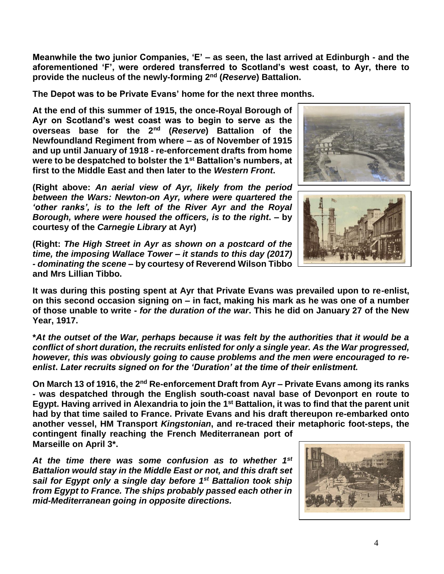**Meanwhile the two junior Companies, 'E' – as seen, the last arrived at Edinburgh - and the aforementioned 'F', were ordered transferred to Scotland's west coast, to Ayr, there to provide the nucleus of the newly-forming 2nd (***Reserve***) Battalion.**

**The Depot was to be Private Evans' home for the next three months.**

**At the end of this summer of 1915, the once-Royal Borough of Ayr on Scotland's west coast was to begin to serve as the overseas base for the 2nd (***Reserve***) Battalion of the Newfoundland Regiment from where – as of November of 1915 and up until January of 1918 - re-enforcement drafts from home were to be despatched to bolster the 1st Battalion's numbers, at first to the Middle East and then later to the** *Western Front***.**

**(Right above:** *An aerial view of Ayr, likely from the period between the Wars: Newton-on Ayr, where were quartered the 'other ranks', is to the left of the River Ayr and the Royal Borough, where were housed the officers, is to the right***. – by courtesy of the** *Carnegie Library* **at Ayr)**

**(Right:** *The High Street in Ayr as shown on a postcard of the time, the imposing Wallace Tower – it stands to this day (2017) - dominating the scene* **– by courtesy of Reverend Wilson Tibbo and Mrs Lillian Tibbo.**

**It was during this posting spent at Ayr that Private Evans was prevailed upon to re-enlist, on this second occasion signing on – in fact, making his mark as he was one of a number of those unable to write -** *for the duration of the war***. This he did on January 27 of the New Year, 1917.**

**\****At the outset of the War, perhaps because it was felt by the authorities that it would be a conflict of short duration, the recruits enlisted for only a single year. As the War progressed, however, this was obviously going to cause problems and the men were encouraged to reenlist***.** *Later recruits signed on for the 'Duration' at the time of their enlistment.*

**On March 13 of 1916, the 2nd Re-enforcement Draft from Ayr – Private Evans among its ranks - was despatched through the English south-coast naval base of Devonport en route to Egypt. Having arrived in Alexandria to join the 1st Battalion, it was to find that the parent unit had by that time sailed to France. Private Evans and his draft thereupon re-embarked onto another vessel, HM Transport** *Kingstonian***, and re-traced their metaphoric foot-steps, the** 

**contingent finally reaching the French Mediterranean port of Marseille on April 3\*.**

*At the time there was some confusion as to whether 1st Battalion would stay in the Middle East or not, and this draft set sail for Egypt only a single day before 1st Battalion took ship from Egypt to France. The ships probably passed each other in mid-Mediterranean going in opposite directions.*





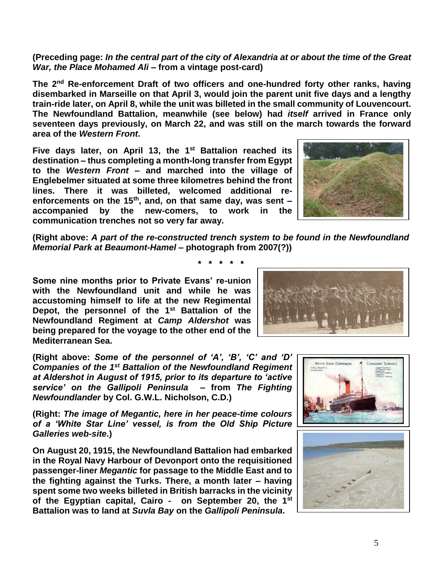## **(Preceding page:** *In the central part of the city of Alexandria at or about the time of the Great War, the Place Mohamed Ali* **– from a vintage post-card)**

**The 2nd Re-enforcement Draft of two officers and one-hundred forty other ranks, having disembarked in Marseille on that April 3, would join the parent unit five days and a lengthy train-ride later, on April 8, while the unit was billeted in the small community of Louvencourt. The Newfoundland Battalion, meanwhile (see below) had** *itself* **arrived in France only seventeen days previously, on March 22, and was still on the march towards the forward area of the** *Western Front***.** 

Five days later, on April 13, the 1<sup>st</sup> Battalion reached its **destination – thus completing a month-long transfer from Egypt to the** *Western Front* **– and marched into the village of Englebelmer situated at some three kilometres behind the front lines. There it was billeted, welcomed additional reenforcements on the 15th, and, on that same day, was sent – accompanied by the new-comers, to work in the communication trenches not so very far away.** 



**(Right above:** *A part of the re-constructed trench system to be found in the Newfoundland Memorial Park at Beaumont-Hamel –* **photograph from 2007(?))**

**\* \* \* \* \***

**Some nine months prior to Private Evans' re-union with the Newfoundland unit and while he was accustoming himself to life at the new Regimental Depot, the personnel of the 1st Battalion of the Newfoundland Regiment at** *Camp Aldershot* **was being prepared for the voyage to the other end of the Mediterranean Sea.**

**(Right above:** *Some of the personnel of 'A', 'B', 'C' and 'D' Companies of the 1st Battalion of the Newfoundland Regiment at Aldershot in August of 1915, prior to its departure to 'active service' on the Gallipoli Peninsula* **– from** *The Fighting Newfoundlander* **by Col. G.W.L. Nicholson, C.D.)**

**(Right:** *The image of Megantic, here in her peace-time colours of a 'White Star Line' vessel, is from the Old Ship Picture Galleries web-site***.)**

**On August 20, 1915, the Newfoundland Battalion had embarked in the Royal Navy Harbour of Devonport onto the requisitioned passenger-liner** *Megantic* **for passage to the Middle East and to the fighting against the Turks. There, a month later – having spent some two weeks billeted in British barracks in the vicinity of the Egyptian capital, Cairo - on September 20, the 1st Battalion was to land at** *Suvla Bay* **on the** *Gallipoli Peninsula***.**





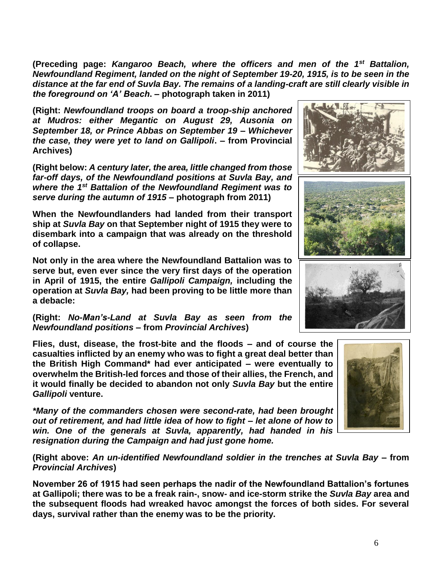**(Preceding page:** *Kangaroo Beach, where the officers and men of the 1st Battalion, Newfoundland Regiment, landed on the night of September 19-20, 1915, is to be seen in the distance at the far end of Suvla Bay. The remains of a landing-craft are still clearly visible in the foreground on 'A' Beach***. – photograph taken in 2011)**

**(Right:** *Newfoundland troops on board a troop-ship anchored at Mudros: either Megantic on August 29, Ausonia on September 18, or Prince Abbas on September 19 – Whichever the case, they were yet to land on Gallipoli***. – from Provincial Archives)**

**(Right below:** *A century later, the area, little changed from those far-off days, of the Newfoundland positions at Suvla Bay, and where the 1st Battalion of the Newfoundland Regiment was to serve during the autumn of 1915* **– photograph from 2011)**

**When the Newfoundlanders had landed from their transport ship at** *Suvla Bay* **on that September night of 1915 they were to disembark into a campaign that was already on the threshold of collapse.**

**Not only in the area where the Newfoundland Battalion was to serve but, even ever since the very first days of the operation in April of 1915, the entire** *Gallipoli Campaign,* **including the operation at** *Suvla Bay,* **had been proving to be little more than a debacle:** 

**(Right:** *No-Man's-Land at Suvla Bay as seen from the Newfoundland positions* **– from** *Provincial Archives***)**

**Flies, dust, disease, the frost-bite and the floods – and of course the casualties inflicted by an enemy who was to fight a great deal better than the British High Command\* had ever anticipated – were eventually to overwhelm the British-led forces and those of their allies, the French, and it would finally be decided to abandon not only** *Suvla Bay* **but the entire**  *Gallipoli* **venture.**

*\*Many of the commanders chosen were second-rate, had been brought out of retirement, and had little idea of how to fight – let alone of how to win. One of the generals at Suvla, apparently, had handed in his resignation during the Campaign and had just gone home.*

**(Right above:** *An un-identified Newfoundland soldier in the trenches at Suvla Bay –* **from**  *Provincial Archives***)**

**November 26 of 1915 had seen perhaps the nadir of the Newfoundland Battalion's fortunes at Gallipoli; there was to be a freak rain-, snow- and ice-storm strike the** *Suvla Bay* **area and the subsequent floods had wreaked havoc amongst the forces of both sides. For several days, survival rather than the enemy was to be the priority.**



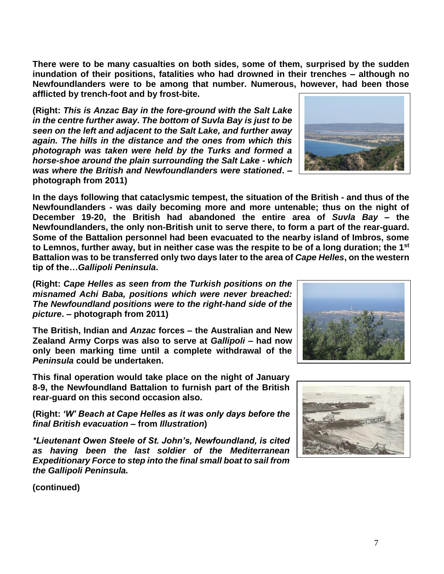7

**There were to be many casualties on both sides, some of them, surprised by the sudden inundation of their positions, fatalities who had drowned in their trenches – although no Newfoundlanders were to be among that number. Numerous, however, had been those afflicted by trench-foot and by frost-bite.**

**(Right:** *This is Anzac Bay in the fore-ground with the Salt Lake in the centre further away. The bottom of Suvla Bay is just to be seen on the left and adjacent to the Salt Lake, and further away again. The hills in the distance and the ones from which this photograph was taken were held by the Turks and formed a horse-shoe around the plain surrounding the Salt Lake - which was where the British and Newfoundlanders were stationed***. – photograph from 2011)**

**In the days following that cataclysmic tempest, the situation of the British - and thus of the Newfoundlanders - was daily becoming more and more untenable; thus on the night of December 19-20, the British had abandoned the entire area of** *Suvla Bay* **– the Newfoundlanders, the only non-British unit to serve there, to form a part of the rear-guard. Some of the Battalion personnel had been evacuated to the nearby island of Imbros, some to Lemnos, further away, but in neither case was the respite to be of a long duration; the 1st Battalion was to be transferred only two days later to the area of** *Cape Helles***, on the western tip of the…***Gallipoli Peninsula***.**

**(Right:** *Cape Helles as seen from the Turkish positions on the misnamed Achi Baba, positions which were never breached: The Newfoundland positions were to the right-hand side of the picture***. – photograph from 2011)**

**The British, Indian and** *Anzac* **forces – the Australian and New Zealand Army Corps was also to serve at** *Gallipoli* **– had now only been marking time until a complete withdrawal of the**  *Peninsula* **could be undertaken.**

**This final operation would take place on the night of January 8-9, the Newfoundland Battalion to furnish part of the British rear-guard on this second occasion also.**

**(Right:** *'W' Beach at Cape Helles as it was only days before the final British evacuation* **– from** *Illustration***)**

*\*Lieutenant Owen Steele of St. John's, Newfoundland, is cited as having been the last soldier of the Mediterranean Expeditionary Force to step into the final small boat to sail from the Gallipoli Peninsula.*

**(continued)**





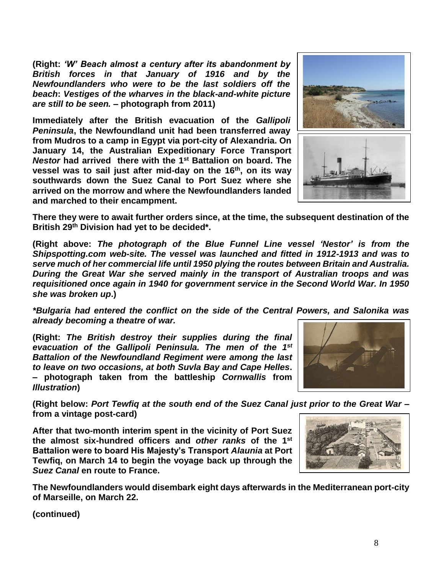**(Right:** *'W' Beach almost a century after its abandonment by British forces in that January of 1916 and by the Newfoundlanders who were to be the last soldiers off the beach***:** *Vestiges of the wharves in the black-and-white picture are still to be seen.* **– photograph from 2011)**

**Immediately after the British evacuation of the** *Gallipoli Peninsula***, the Newfoundland unit had been transferred away from Mudros to a camp in Egypt via port-city of Alexandria. On January 14, the Australian Expeditionary Force Transport**  *Nestor* **had arrived there with the 1st Battalion on board. The vessel was to sail just after mid-day on the 16th, on its way southwards down the Suez Canal to Port Suez where she arrived on the morrow and where the Newfoundlanders landed and marched to their encampment.**



**There they were to await further orders since, at the time, the subsequent destination of the British 29th Division had yet to be decided\*.**

**(Right above:** *The photograph of the Blue Funnel Line vessel 'Nestor' is from the Shipspotting.com web-site. The vessel was launched and fitted in 1912-1913 and was to serve much of her commercial life until 1950 plying the routes between Britain and Australia. During the Great War she served mainly in the transport of Australian troops and was requisitioned once again in 1940 for government service in the Second World War. In 1950 she was broken up***.)**

*\*Bulgaria had entered the conflict on the side of the Central Powers, and Salonika was already becoming a theatre of war.*

**(Right:** *The British destroy their supplies during the final evacuation of the Gallipoli Peninsula. The men of the 1st Battalion of the Newfoundland Regiment were among the last to leave on two occasions, at both Suvla Bay and Cape Helles***. – photograph taken from the battleship** *Cornwallis* **from**  *Illustration***)**



**(Right below:** *Port Tewfiq at the south end of the Suez Canal just prior to the Great War* **– from a vintage post-card)**

**After that two-month interim spent in the vicinity of Port Suez the almost six-hundred officers and** *other ranks* **of the 1st Battalion were to board His Majesty's Transport** *Alaunia* **at Port Tewfiq, on March 14 to begin the voyage back up through the**  *Suez Canal* **en route to France.** 



**The Newfoundlanders would disembark eight days afterwards in the Mediterranean port-city of Marseille, on March 22.**

**(continued)**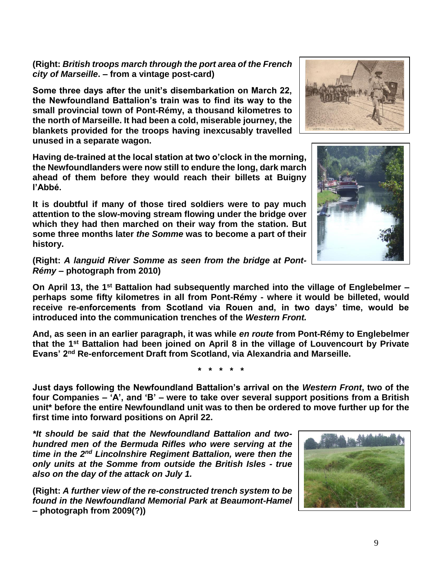**(Right:** *British troops march through the port area of the French city of Marseille***. – from a vintage post-card)**

**Some three days after the unit's disembarkation on March 22, the Newfoundland Battalion's train was to find its way to the small provincial town of Pont-Rémy, a thousand kilometres to the north of Marseille. It had been a cold, miserable journey, the blankets provided for the troops having inexcusably travelled unused in a separate wagon.**

**Having de-trained at the local station at two o'clock in the morning, the Newfoundlanders were now still to endure the long, dark march ahead of them before they would reach their billets at Buigny l'Abbé.**

**It is doubtful if many of those tired soldiers were to pay much attention to the slow-moving stream flowing under the bridge over which they had then marched on their way from the station. But some three months later** *the Somme* **was to become a part of their history.**

**(Right:** *A languid River Somme as seen from the bridge at Pont-Rémy* **– photograph from 2010)**

**On April 13, the 1st Battalion had subsequently marched into the village of Englebelmer – perhaps some fifty kilometres in all from Pont-Rémy - where it would be billeted, would receive re-enforcements from Scotland via Rouen and, in two days' time, would be introduced into the communication trenches of the** *Western Front.*

**And, as seen in an earlier paragraph, it was while** *en route* **from Pont-Rémy to Englebelmer that the 1st Battalion had been joined on April 8 in the village of Louvencourt by Private Evans' 2nd Re-enforcement Draft from Scotland, via Alexandria and Marseille.**

**\* \* \* \* \***

**Just days following the Newfoundland Battalion's arrival on the** *Western Front***, two of the four Companies – 'A', and 'B' – were to take over several support positions from a British unit\* before the entire Newfoundland unit was to then be ordered to move further up for the first time into forward positions on April 22.**

*\*It should be said that the Newfoundland Battalion and twohundred men of the Bermuda Rifles who were serving at the time in the 2nd Lincolnshire Regiment Battalion, were then the only units at the Somme from outside the British Isles - true also on the day of the attack on July 1.*

**(Right:** *A further view of the re-constructed trench system to be found in the Newfoundland Memorial Park at Beaumont-Hamel* **– photograph from 2009(?))**





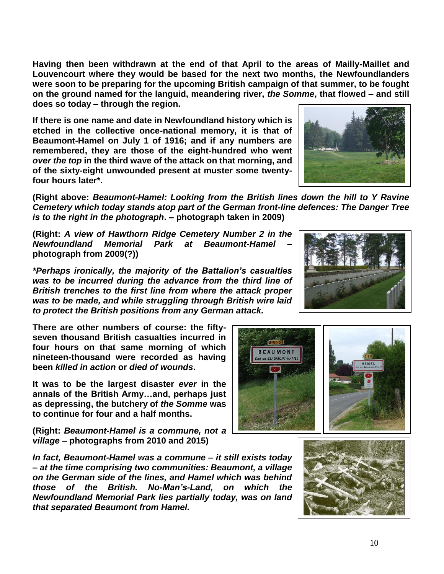**Having then been withdrawn at the end of that April to the areas of Mailly-Maillet and Louvencourt where they would be based for the next two months, the Newfoundlanders were soon to be preparing for the upcoming British campaign of that summer, to be fought on the ground named for the languid, meandering river,** *the Somme***, that flowed – and still does so today – through the region.** 

**If there is one name and date in Newfoundland history which is etched in the collective once-national memory, it is that of Beaumont-Hamel on July 1 of 1916; and if any numbers are remembered, they are those of the eight-hundred who went**  *over the top* **in the third wave of the attack on that morning, and of the sixty-eight unwounded present at muster some twentyfour hours later\*.**



**(Right above:** *Beaumont-Hamel: Looking from the British lines down the hill to Y Ravine Cemetery which today stands atop part of the German front-line defences: The Danger Tree is to the right in the photograph***. – photograph taken in 2009)**

**(Right:** *A view of Hawthorn Ridge Cemetery Number 2 in the Newfoundland Memorial Park at Beaumont-Hamel* **– photograph from 2009(?))**

*\*Perhaps ironically, the majority of the Battalion's casualties was to be incurred during the advance from the third line of British trenches to the first line from where the attack proper was to be made, and while struggling through British wire laid to protect the British positions from any German attack.*

**There are other numbers of course: the fiftyseven thousand British casualties incurred in four hours on that same morning of which nineteen-thousand were recorded as having been** *killed in action* **or** *died of wounds***.** 

**It was to be the largest disaster** *ever* **in the annals of the British Army…and, perhaps just as depressing, the butchery of** *the Somme* **was to continue for four and a half months.**

**(Right:** *Beaumont-Hamel is a commune, not a village* **– photographs from 2010 and 2015)**

*In fact, Beaumont-Hamel was a commune – it still exists today – at the time comprising two communities: Beaumont, a village on the German side of the lines, and Hamel which was behind those of the British. No-Man's-Land, on which the Newfoundland Memorial Park lies partially today, was on land that separated Beaumont from Hamel.*